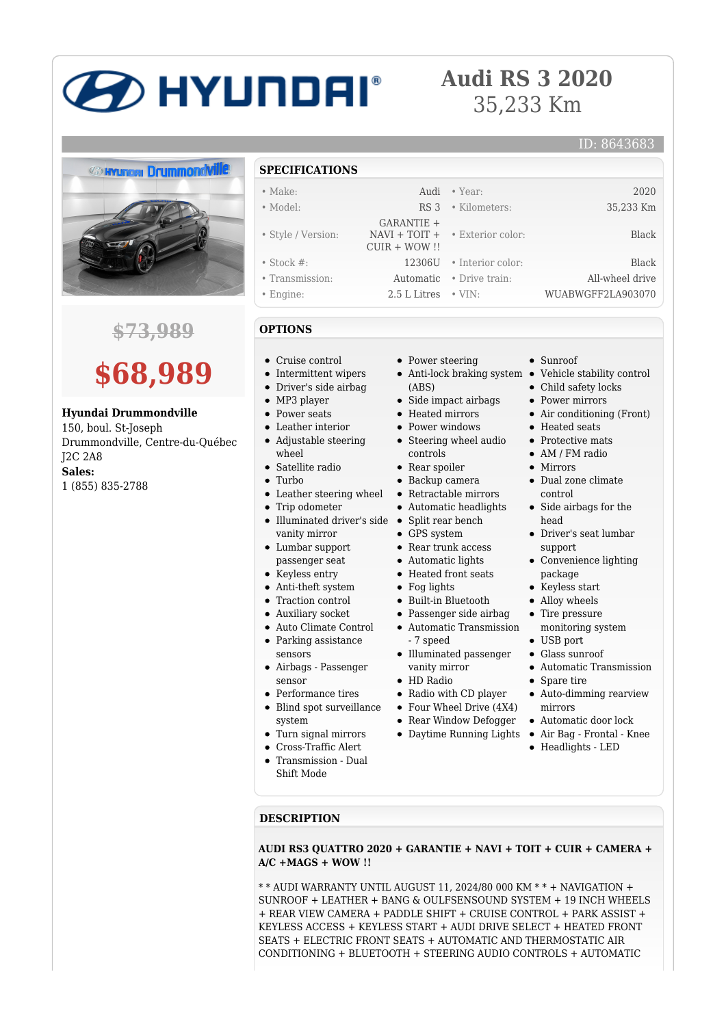## **BETHE HARGE STATE**

## **Audi RS 3 2020** 35,233 Km

# **ED HYUNDRI Drummondville**

## **\$73,989**

## **\$68,989**

**Hyundai Drummondville**

150, boul. St-Joseph Drummondville, Centre-du-Québec J2C 2A8 **Sales:** 1 (855) 835-2788

#### **SPECIFICATIONS**

| $\bullet$ Make:    | Audi                          | • Year:                               | 2020              |
|--------------------|-------------------------------|---------------------------------------|-------------------|
| • Model:           | RS 3                          | • Kilometers:                         | 35,233 Km         |
| • Style / Version: | GARANTIE +<br>$CUIR + WOW$ !! | $NAVI + TOIT + \cdot$ Exterior color: | <b>Black</b>      |
| • Stock $#$ :      |                               | 12306U • Interior color:              | <b>Black</b>      |
| • Transmission:    | Automatic                     | • Drive train:                        | All-wheel drive   |
| $\bullet$ Engine:  | 2.5 L Litres                  | $\cdot$ VIN:                          | WUABWGFF2LA903070 |
|                    |                               |                                       |                   |

### **OPTIONS**

- Cruise control
- Intermittent wipers
- Driver's side airbag
- MP3 player
- Power seats
- Leather interior
- Adjustable steering wheel
- Satellite radio
- Turbo
- Leather steering wheel
- Trip odometer
- Illuminated driver's side Split rear bench vanity mirror
- Lumbar support passenger seat
- Keyless entry
- Anti-theft system
- Traction control
- Auxiliary socket
- Auto Climate Control
- Parking assistance sensors
- Airbags Passenger sensor
- Performance tires
- Blind spot surveillance system
- Turn signal mirrors
- Cross-Traffic Alert
- Transmission Dual
- Shift Mode
- Power steering
- (ABS)
- Side impact airbags
- Heated mirrors
- Power windows
- Steering wheel audio controls
- Rear spoiler
- Backup camera
- Retractable mirrors
- Automatic headlights
- 
- 
- 
- 
- 
- 
- Passenger side airbag Automatic Transmission
- 
- HD Radio
- 
- 
- 
- 
- 
- Headlights LED

#### **DESCRIPTION**

**AUDI RS3 QUATTRO 2020 + GARANTIE + NAVI + TOIT + CUIR + CAMERA + A/C +MAGS + WOW !!**

\* \* AUDI WARRANTY UNTIL AUGUST 11, 2024/80 000 KM \* \* + NAVIGATION + SUNROOF + LEATHER + BANG & OULFSENSOUND SYSTEM + 19 INCH WHEELS + REAR VIEW CAMERA + PADDLE SHIFT + CRUISE CONTROL + PARK ASSIST + KEYLESS ACCESS + KEYLESS START + AUDI DRIVE SELECT + HEATED FRONT SEATS + ELECTRIC FRONT SEATS + AUTOMATIC AND THERMOSTATIC AIR CONDITIONING + BLUETOOTH + STEERING AUDIO CONTROLS + AUTOMATIC

- GPS system • Rear trunk access
	- Automatic lights
	- Heated front seats
	- Fog lights
	- Built-in Bluetooth
		-
		- 7 speed
	- Illuminated passenger vanity mirror
	-
	- Radio with CD player
	- Four Wheel Drive (4X4)
	- Rear Window Defogger
		- Daytime Running Lights Air Bag Frontal Knee
- Sunroof
- Anti-lock braking system Vehicle stability control

ID: 8643683

- Child safety locks
- Power mirrors
- Air conditioning (Front)
- Heated seats
- Protective mats
- AM / FM radio
- Mirrors
- Dual zone climate control
- Side airbags for the head
- Driver's seat lumbar support
- Convenience lighting package
- Keyless start
- Alloy wheels
- Tire pressure
- monitoring system USB port
- Glass sunroof
- Automatic Transmission
- Spare tire
- Auto-dimming rearview mirrors
- Automatic door lock